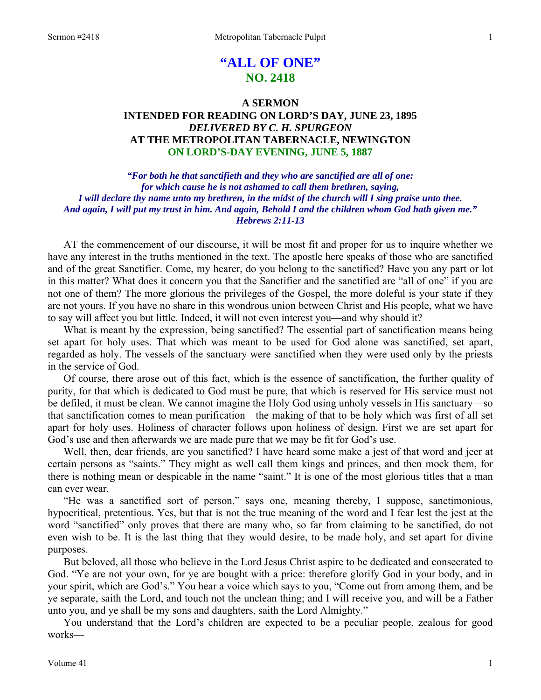# **"ALL OF ONE" NO. 2418**

# **A SERMON INTENDED FOR READING ON LORD'S DAY, JUNE 23, 1895**  *DELIVERED BY C. H. SPURGEON*  **AT THE METROPOLITAN TABERNACLE, NEWINGTON ON LORD'S-DAY EVENING, JUNE 5, 1887**

*"For both he that sanctifieth and they who are sanctified are all of one: for which cause he is not ashamed to call them brethren, saying, I will declare thy name unto my brethren, in the midst of the church will I sing praise unto thee. And again, I will put my trust in him. And again, Behold I and the children whom God hath given me." Hebrews 2:11-13* 

AT the commencement of our discourse, it will be most fit and proper for us to inquire whether we have any interest in the truths mentioned in the text. The apostle here speaks of those who are sanctified and of the great Sanctifier. Come, my hearer, do you belong to the sanctified? Have you any part or lot in this matter? What does it concern you that the Sanctifier and the sanctified are "all of one" if you are not one of them? The more glorious the privileges of the Gospel, the more doleful is your state if they are not yours. If you have no share in this wondrous union between Christ and His people, what we have to say will affect you but little. Indeed, it will not even interest you—and why should it?

What is meant by the expression, being sanctified? The essential part of sanctification means being set apart for holy uses. That which was meant to be used for God alone was sanctified, set apart, regarded as holy. The vessels of the sanctuary were sanctified when they were used only by the priests in the service of God.

Of course, there arose out of this fact, which is the essence of sanctification, the further quality of purity, for that which is dedicated to God must be pure, that which is reserved for His service must not be defiled, it must be clean. We cannot imagine the Holy God using unholy vessels in His sanctuary—so that sanctification comes to mean purification—the making of that to be holy which was first of all set apart for holy uses. Holiness of character follows upon holiness of design. First we are set apart for God's use and then afterwards we are made pure that we may be fit for God's use.

Well, then, dear friends, are you sanctified? I have heard some make a jest of that word and jeer at certain persons as "saints." They might as well call them kings and princes, and then mock them, for there is nothing mean or despicable in the name "saint." It is one of the most glorious titles that a man can ever wear.

"He was a sanctified sort of person," says one, meaning thereby, I suppose, sanctimonious, hypocritical, pretentious. Yes, but that is not the true meaning of the word and I fear lest the jest at the word "sanctified" only proves that there are many who, so far from claiming to be sanctified, do not even wish to be. It is the last thing that they would desire, to be made holy, and set apart for divine purposes.

But beloved, all those who believe in the Lord Jesus Christ aspire to be dedicated and consecrated to God. "Ye are not your own, for ye are bought with a price: therefore glorify God in your body, and in your spirit, which are God's." You hear a voice which says to you, "Come out from among them, and be ye separate, saith the Lord, and touch not the unclean thing; and I will receive you, and will be a Father unto you, and ye shall be my sons and daughters, saith the Lord Almighty."

You understand that the Lord's children are expected to be a peculiar people, zealous for good works—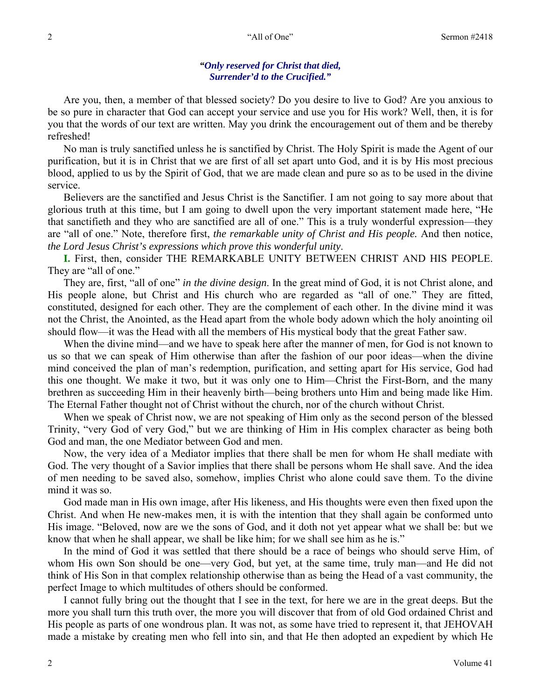### *"Only reserved for Christ that died, Surrender'd to the Crucified."*

Are you, then, a member of that blessed society? Do you desire to live to God? Are you anxious to be so pure in character that God can accept your service and use you for His work? Well, then, it is for you that the words of our text are written. May you drink the encouragement out of them and be thereby refreshed!

No man is truly sanctified unless he is sanctified by Christ. The Holy Spirit is made the Agent of our purification, but it is in Christ that we are first of all set apart unto God, and it is by His most precious blood, applied to us by the Spirit of God, that we are made clean and pure so as to be used in the divine service.

Believers are the sanctified and Jesus Christ is the Sanctifier. I am not going to say more about that glorious truth at this time, but I am going to dwell upon the very important statement made here, "He that sanctifieth and they who are sanctified are all of one." This is a truly wonderful expression—they are "all of one." Note, therefore first, *the remarkable unity of Christ and His people.* And then notice, *the Lord Jesus Christ's expressions which prove this wonderful unity*.

**I.** First, then, consider THE REMARKABLE UNITY BETWEEN CHRIST AND HIS PEOPLE. They are "all of one."

They are, first, "all of one" *in the divine design*. In the great mind of God, it is not Christ alone, and His people alone, but Christ and His church who are regarded as "all of one." They are fitted, constituted, designed for each other. They are the complement of each other. In the divine mind it was not the Christ, the Anointed, as the Head apart from the whole body adown which the holy anointing oil should flow—it was the Head with all the members of His mystical body that the great Father saw.

When the divine mind—and we have to speak here after the manner of men, for God is not known to us so that we can speak of Him otherwise than after the fashion of our poor ideas—when the divine mind conceived the plan of man's redemption, purification, and setting apart for His service, God had this one thought. We make it two, but it was only one to Him—Christ the First-Born, and the many brethren as succeeding Him in their heavenly birth—being brothers unto Him and being made like Him. The Eternal Father thought not of Christ without the church, nor of the church without Christ.

When we speak of Christ now, we are not speaking of Him only as the second person of the blessed Trinity, "very God of very God," but we are thinking of Him in His complex character as being both God and man, the one Mediator between God and men.

Now, the very idea of a Mediator implies that there shall be men for whom He shall mediate with God. The very thought of a Savior implies that there shall be persons whom He shall save. And the idea of men needing to be saved also, somehow, implies Christ who alone could save them. To the divine mind it was so.

God made man in His own image, after His likeness, and His thoughts were even then fixed upon the Christ. And when He new-makes men, it is with the intention that they shall again be conformed unto His image. "Beloved, now are we the sons of God, and it doth not yet appear what we shall be: but we know that when he shall appear, we shall be like him; for we shall see him as he is."

In the mind of God it was settled that there should be a race of beings who should serve Him, of whom His own Son should be one—very God, but yet, at the same time, truly man—and He did not think of His Son in that complex relationship otherwise than as being the Head of a vast community, the perfect Image to which multitudes of others should be conformed.

I cannot fully bring out the thought that I see in the text, for here we are in the great deeps. But the more you shall turn this truth over, the more you will discover that from of old God ordained Christ and His people as parts of one wondrous plan. It was not, as some have tried to represent it, that JEHOVAH made a mistake by creating men who fell into sin, and that He then adopted an expedient by which He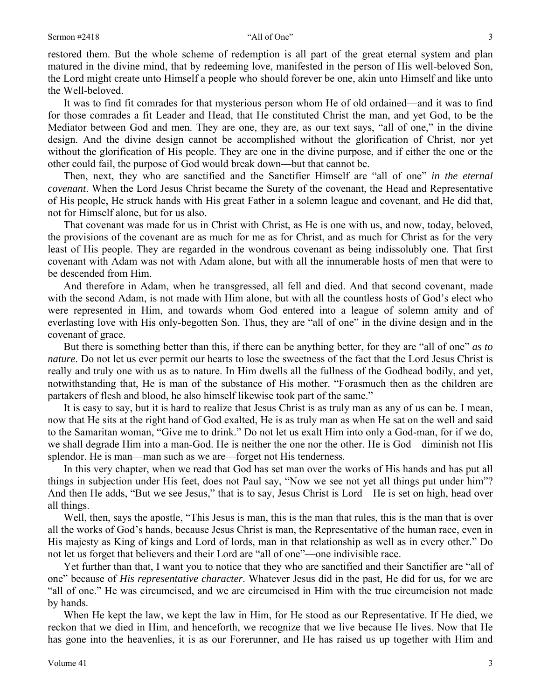restored them. But the whole scheme of redemption is all part of the great eternal system and plan matured in the divine mind, that by redeeming love, manifested in the person of His well-beloved Son, the Lord might create unto Himself a people who should forever be one, akin unto Himself and like unto the Well-beloved.

It was to find fit comrades for that mysterious person whom He of old ordained—and it was to find for those comrades a fit Leader and Head, that He constituted Christ the man, and yet God, to be the Mediator between God and men. They are one, they are, as our text says, "all of one," in the divine design. And the divine design cannot be accomplished without the glorification of Christ, nor yet without the glorification of His people. They are one in the divine purpose, and if either the one or the other could fail, the purpose of God would break down—but that cannot be.

Then, next, they who are sanctified and the Sanctifier Himself are "all of one" *in the eternal covenant*. When the Lord Jesus Christ became the Surety of the covenant, the Head and Representative of His people, He struck hands with His great Father in a solemn league and covenant, and He did that, not for Himself alone, but for us also.

That covenant was made for us in Christ with Christ, as He is one with us, and now, today, beloved, the provisions of the covenant are as much for me as for Christ, and as much for Christ as for the very least of His people. They are regarded in the wondrous covenant as being indissolubly one. That first covenant with Adam was not with Adam alone, but with all the innumerable hosts of men that were to be descended from Him.

And therefore in Adam, when he transgressed, all fell and died. And that second covenant, made with the second Adam, is not made with Him alone, but with all the countless hosts of God's elect who were represented in Him, and towards whom God entered into a league of solemn amity and of everlasting love with His only-begotten Son. Thus, they are "all of one" in the divine design and in the covenant of grace.

But there is something better than this, if there can be anything better, for they are "all of one" *as to nature*. Do not let us ever permit our hearts to lose the sweetness of the fact that the Lord Jesus Christ is really and truly one with us as to nature. In Him dwells all the fullness of the Godhead bodily, and yet, notwithstanding that, He is man of the substance of His mother. "Forasmuch then as the children are partakers of flesh and blood, he also himself likewise took part of the same."

It is easy to say, but it is hard to realize that Jesus Christ is as truly man as any of us can be. I mean, now that He sits at the right hand of God exalted, He is as truly man as when He sat on the well and said to the Samaritan woman, "Give me to drink." Do not let us exalt Him into only a God-man, for if we do, we shall degrade Him into a man-God. He is neither the one nor the other. He is God—diminish not His splendor. He is man—man such as we are—forget not His tenderness.

In this very chapter, when we read that God has set man over the works of His hands and has put all things in subjection under His feet, does not Paul say, "Now we see not yet all things put under him"? And then He adds, "But we see Jesus," that is to say, Jesus Christ is Lord—He is set on high, head over all things.

Well, then, says the apostle, "This Jesus is man, this is the man that rules, this is the man that is over all the works of God's hands, because Jesus Christ is man, the Representative of the human race, even in His majesty as King of kings and Lord of lords, man in that relationship as well as in every other." Do not let us forget that believers and their Lord are "all of one"—one indivisible race.

Yet further than that, I want you to notice that they who are sanctified and their Sanctifier are "all of one" because of *His representative character*. Whatever Jesus did in the past, He did for us, for we are "all of one." He was circumcised, and we are circumcised in Him with the true circumcision not made by hands.

When He kept the law, we kept the law in Him, for He stood as our Representative. If He died, we reckon that we died in Him, and henceforth, we recognize that we live because He lives. Now that He has gone into the heavenlies, it is as our Forerunner, and He has raised us up together with Him and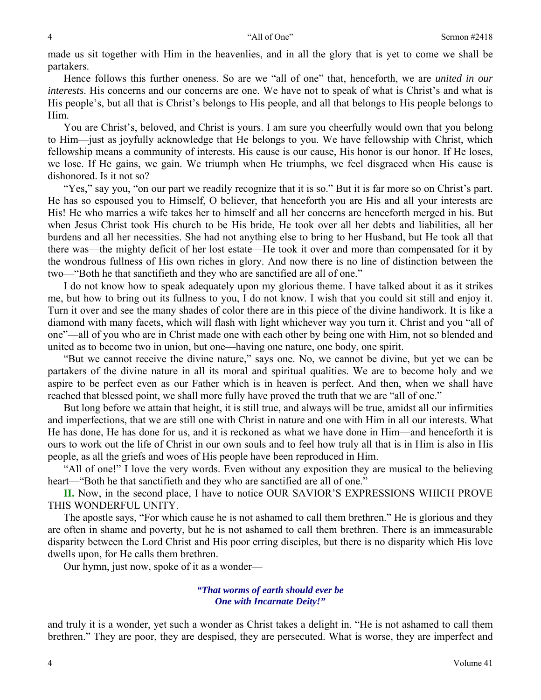made us sit together with Him in the heavenlies, and in all the glory that is yet to come we shall be partakers.

Hence follows this further oneness. So are we "all of one" that, henceforth, we are *united in our interests*. His concerns and our concerns are one. We have not to speak of what is Christ's and what is His people's, but all that is Christ's belongs to His people, and all that belongs to His people belongs to Him.

You are Christ's, beloved, and Christ is yours. I am sure you cheerfully would own that you belong to Him—just as joyfully acknowledge that He belongs to you. We have fellowship with Christ, which fellowship means a community of interests. His cause is our cause, His honor is our honor. If He loses, we lose. If He gains, we gain. We triumph when He triumphs, we feel disgraced when His cause is dishonored. Is it not so?

"Yes," say you, "on our part we readily recognize that it is so." But it is far more so on Christ's part. He has so espoused you to Himself, O believer, that henceforth you are His and all your interests are His! He who marries a wife takes her to himself and all her concerns are henceforth merged in his. But when Jesus Christ took His church to be His bride, He took over all her debts and liabilities, all her burdens and all her necessities. She had not anything else to bring to her Husband, but He took all that there was—the mighty deficit of her lost estate—He took it over and more than compensated for it by the wondrous fullness of His own riches in glory. And now there is no line of distinction between the two—"Both he that sanctifieth and they who are sanctified are all of one."

I do not know how to speak adequately upon my glorious theme. I have talked about it as it strikes me, but how to bring out its fullness to you, I do not know. I wish that you could sit still and enjoy it. Turn it over and see the many shades of color there are in this piece of the divine handiwork. It is like a diamond with many facets, which will flash with light whichever way you turn it. Christ and you "all of one"—all of you who are in Christ made one with each other by being one with Him, not so blended and united as to become two in union, but one—having one nature, one body, one spirit.

"But we cannot receive the divine nature," says one. No, we cannot be divine, but yet we can be partakers of the divine nature in all its moral and spiritual qualities. We are to become holy and we aspire to be perfect even as our Father which is in heaven is perfect. And then, when we shall have reached that blessed point, we shall more fully have proved the truth that we are "all of one."

But long before we attain that height, it is still true, and always will be true, amidst all our infirmities and imperfections, that we are still one with Christ in nature and one with Him in all our interests. What He has done, He has done for us, and it is reckoned as what we have done in Him—and henceforth it is ours to work out the life of Christ in our own souls and to feel how truly all that is in Him is also in His people, as all the griefs and woes of His people have been reproduced in Him.

"All of one!" I love the very words. Even without any exposition they are musical to the believing heart—"Both he that sanctifieth and they who are sanctified are all of one."

**II.** Now, in the second place, I have to notice OUR SAVIOR'S EXPRESSIONS WHICH PROVE THIS WONDERFUL UNITY.

The apostle says, "For which cause he is not ashamed to call them brethren." He is glorious and they are often in shame and poverty, but he is not ashamed to call them brethren. There is an immeasurable disparity between the Lord Christ and His poor erring disciples, but there is no disparity which His love dwells upon, for He calls them brethren.

Our hymn, just now, spoke of it as a wonder—

### *"That worms of earth should ever be One with Incarnate Deity!"*

and truly it is a wonder, yet such a wonder as Christ takes a delight in. "He is not ashamed to call them brethren." They are poor, they are despised, they are persecuted. What is worse, they are imperfect and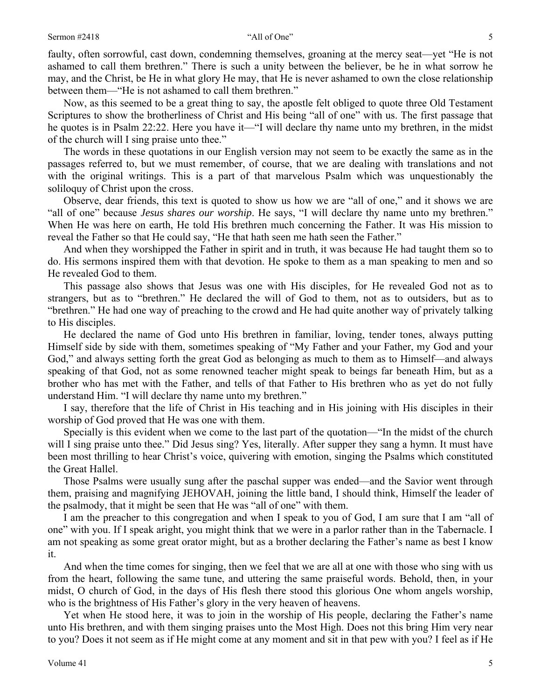faulty, often sorrowful, cast down, condemning themselves, groaning at the mercy seat—yet "He is not ashamed to call them brethren." There is such a unity between the believer, be he in what sorrow he may, and the Christ, be He in what glory He may, that He is never ashamed to own the close relationship between them—"He is not ashamed to call them brethren."

Now, as this seemed to be a great thing to say, the apostle felt obliged to quote three Old Testament Scriptures to show the brotherliness of Christ and His being "all of one" with us. The first passage that he quotes is in Psalm 22:22. Here you have it—"I will declare thy name unto my brethren, in the midst of the church will I sing praise unto thee."

The words in these quotations in our English version may not seem to be exactly the same as in the passages referred to, but we must remember, of course, that we are dealing with translations and not with the original writings. This is a part of that marvelous Psalm which was unquestionably the soliloquy of Christ upon the cross.

Observe, dear friends, this text is quoted to show us how we are "all of one," and it shows we are "all of one" because *Jesus shares our worship*. He says, "I will declare thy name unto my brethren." When He was here on earth, He told His brethren much concerning the Father. It was His mission to reveal the Father so that He could say, "He that hath seen me hath seen the Father."

And when they worshipped the Father in spirit and in truth, it was because He had taught them so to do. His sermons inspired them with that devotion. He spoke to them as a man speaking to men and so He revealed God to them.

This passage also shows that Jesus was one with His disciples, for He revealed God not as to strangers, but as to "brethren." He declared the will of God to them, not as to outsiders, but as to "brethren." He had one way of preaching to the crowd and He had quite another way of privately talking to His disciples.

He declared the name of God unto His brethren in familiar, loving, tender tones, always putting Himself side by side with them, sometimes speaking of "My Father and your Father, my God and your God," and always setting forth the great God as belonging as much to them as to Himself—and always speaking of that God, not as some renowned teacher might speak to beings far beneath Him, but as a brother who has met with the Father, and tells of that Father to His brethren who as yet do not fully understand Him. "I will declare thy name unto my brethren."

I say, therefore that the life of Christ in His teaching and in His joining with His disciples in their worship of God proved that He was one with them.

Specially is this evident when we come to the last part of the quotation—"In the midst of the church will I sing praise unto thee." Did Jesus sing? Yes, literally. After supper they sang a hymn. It must have been most thrilling to hear Christ's voice, quivering with emotion, singing the Psalms which constituted the Great Hallel.

Those Psalms were usually sung after the paschal supper was ended—and the Savior went through them, praising and magnifying JEHOVAH, joining the little band, I should think, Himself the leader of the psalmody, that it might be seen that He was "all of one" with them.

I am the preacher to this congregation and when I speak to you of God, I am sure that I am "all of one" with you. If I speak aright, you might think that we were in a parlor rather than in the Tabernacle. I am not speaking as some great orator might, but as a brother declaring the Father's name as best I know it.

And when the time comes for singing, then we feel that we are all at one with those who sing with us from the heart, following the same tune, and uttering the same praiseful words. Behold, then, in your midst, O church of God, in the days of His flesh there stood this glorious One whom angels worship, who is the brightness of His Father's glory in the very heaven of heavens.

Yet when He stood here, it was to join in the worship of His people, declaring the Father's name unto His brethren, and with them singing praises unto the Most High. Does not this bring Him very near to you? Does it not seem as if He might come at any moment and sit in that pew with you? I feel as if He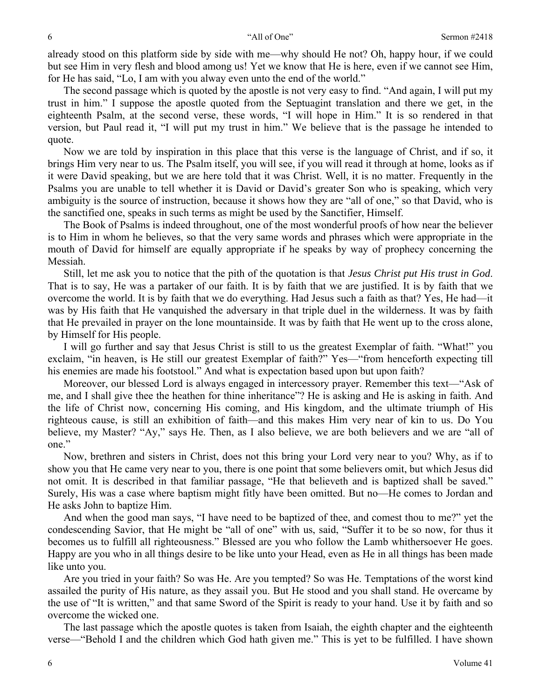already stood on this platform side by side with me—why should He not? Oh, happy hour, if we could but see Him in very flesh and blood among us! Yet we know that He is here, even if we cannot see Him, for He has said, "Lo, I am with you alway even unto the end of the world."

The second passage which is quoted by the apostle is not very easy to find. "And again, I will put my trust in him." I suppose the apostle quoted from the Septuagint translation and there we get, in the eighteenth Psalm, at the second verse, these words, "I will hope in Him." It is so rendered in that version, but Paul read it, "I will put my trust in him." We believe that is the passage he intended to quote.

Now we are told by inspiration in this place that this verse is the language of Christ, and if so, it brings Him very near to us. The Psalm itself, you will see, if you will read it through at home, looks as if it were David speaking, but we are here told that it was Christ. Well, it is no matter. Frequently in the Psalms you are unable to tell whether it is David or David's greater Son who is speaking, which very ambiguity is the source of instruction, because it shows how they are "all of one," so that David, who is the sanctified one, speaks in such terms as might be used by the Sanctifier, Himself.

The Book of Psalms is indeed throughout, one of the most wonderful proofs of how near the believer is to Him in whom he believes, so that the very same words and phrases which were appropriate in the mouth of David for himself are equally appropriate if he speaks by way of prophecy concerning the Messiah.

Still, let me ask you to notice that the pith of the quotation is that *Jesus Christ put His trust in God*. That is to say, He was a partaker of our faith. It is by faith that we are justified. It is by faith that we overcome the world. It is by faith that we do everything. Had Jesus such a faith as that? Yes, He had—it was by His faith that He vanquished the adversary in that triple duel in the wilderness. It was by faith that He prevailed in prayer on the lone mountainside. It was by faith that He went up to the cross alone, by Himself for His people.

I will go further and say that Jesus Christ is still to us the greatest Exemplar of faith. "What!" you exclaim, "in heaven, is He still our greatest Exemplar of faith?" Yes—"from henceforth expecting till his enemies are made his footstool." And what is expectation based upon but upon faith?

Moreover, our blessed Lord is always engaged in intercessory prayer. Remember this text—"Ask of me, and I shall give thee the heathen for thine inheritance"? He is asking and He is asking in faith. And the life of Christ now, concerning His coming, and His kingdom, and the ultimate triumph of His righteous cause, is still an exhibition of faith—and this makes Him very near of kin to us. Do You believe, my Master? "Ay," says He. Then, as I also believe, we are both believers and we are "all of one."

Now, brethren and sisters in Christ, does not this bring your Lord very near to you? Why, as if to show you that He came very near to you, there is one point that some believers omit, but which Jesus did not omit. It is described in that familiar passage, "He that believeth and is baptized shall be saved." Surely, His was a case where baptism might fitly have been omitted. But no—He comes to Jordan and He asks John to baptize Him.

And when the good man says, "I have need to be baptized of thee, and comest thou to me?" yet the condescending Savior, that He might be "all of one" with us, said, "Suffer it to be so now, for thus it becomes us to fulfill all righteousness." Blessed are you who follow the Lamb whithersoever He goes. Happy are you who in all things desire to be like unto your Head, even as He in all things has been made like unto you.

Are you tried in your faith? So was He. Are you tempted? So was He. Temptations of the worst kind assailed the purity of His nature, as they assail you. But He stood and you shall stand. He overcame by the use of "It is written," and that same Sword of the Spirit is ready to your hand. Use it by faith and so overcome the wicked one.

The last passage which the apostle quotes is taken from Isaiah, the eighth chapter and the eighteenth verse—"Behold I and the children which God hath given me." This is yet to be fulfilled. I have shown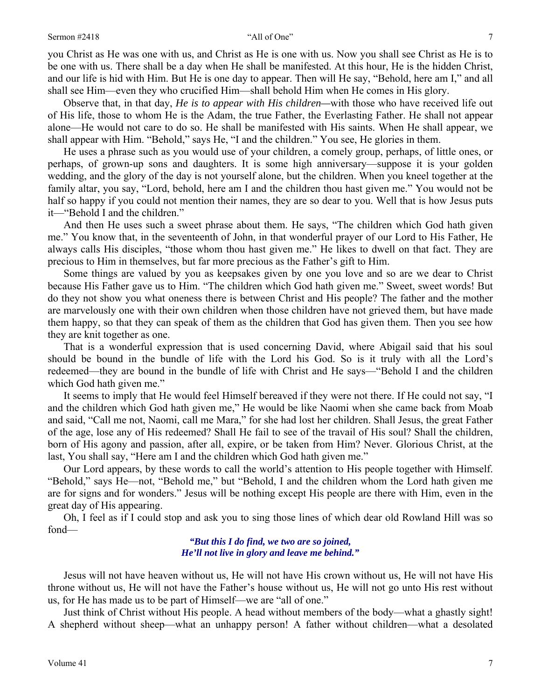you Christ as He was one with us, and Christ as He is one with us. Now you shall see Christ as He is to be one with us. There shall be a day when He shall be manifested. At this hour, He is the hidden Christ, and our life is hid with Him. But He is one day to appear. Then will He say, "Behold, here am I," and all shall see Him—even they who crucified Him—shall behold Him when He comes in His glory.

Observe that, in that day, *He is to appear with His children—*with those who have received life out of His life, those to whom He is the Adam, the true Father, the Everlasting Father. He shall not appear alone—He would not care to do so. He shall be manifested with His saints. When He shall appear, we shall appear with Him. "Behold," says He, "I and the children." You see, He glories in them.

He uses a phrase such as you would use of your children, a comely group, perhaps, of little ones, or perhaps, of grown-up sons and daughters. It is some high anniversary—suppose it is your golden wedding, and the glory of the day is not yourself alone, but the children. When you kneel together at the family altar, you say, "Lord, behold, here am I and the children thou hast given me." You would not be half so happy if you could not mention their names, they are so dear to you. Well that is how Jesus puts it—"Behold I and the children."

And then He uses such a sweet phrase about them. He says, "The children which God hath given me." You know that, in the seventeenth of John, in that wonderful prayer of our Lord to His Father, He always calls His disciples, "those whom thou hast given me." He likes to dwell on that fact. They are precious to Him in themselves, but far more precious as the Father's gift to Him.

Some things are valued by you as keepsakes given by one you love and so are we dear to Christ because His Father gave us to Him. "The children which God hath given me." Sweet, sweet words! But do they not show you what oneness there is between Christ and His people? The father and the mother are marvelously one with their own children when those children have not grieved them, but have made them happy, so that they can speak of them as the children that God has given them. Then you see how they are knit together as one.

That is a wonderful expression that is used concerning David, where Abigail said that his soul should be bound in the bundle of life with the Lord his God. So is it truly with all the Lord's redeemed—they are bound in the bundle of life with Christ and He says—"Behold I and the children which God hath given me."

It seems to imply that He would feel Himself bereaved if they were not there. If He could not say, "I and the children which God hath given me," He would be like Naomi when she came back from Moab and said, "Call me not, Naomi, call me Mara," for she had lost her children. Shall Jesus, the great Father of the age, lose any of His redeemed? Shall He fail to see of the travail of His soul? Shall the children, born of His agony and passion, after all, expire, or be taken from Him? Never. Glorious Christ, at the last, You shall say, "Here am I and the children which God hath given me."

Our Lord appears, by these words to call the world's attention to His people together with Himself. "Behold," says He—not, "Behold me," but "Behold, I and the children whom the Lord hath given me are for signs and for wonders." Jesus will be nothing except His people are there with Him, even in the great day of His appearing.

Oh, I feel as if I could stop and ask you to sing those lines of which dear old Rowland Hill was so fond—

> *"But this I do find, we two are so joined, He'll not live in glory and leave me behind."*

Jesus will not have heaven without us, He will not have His crown without us, He will not have His throne without us, He will not have the Father's house without us, He will not go unto His rest without us, for He has made us to be part of Himself—we are "all of one."

Just think of Christ without His people. A head without members of the body—what a ghastly sight! A shepherd without sheep—what an unhappy person! A father without children—what a desolated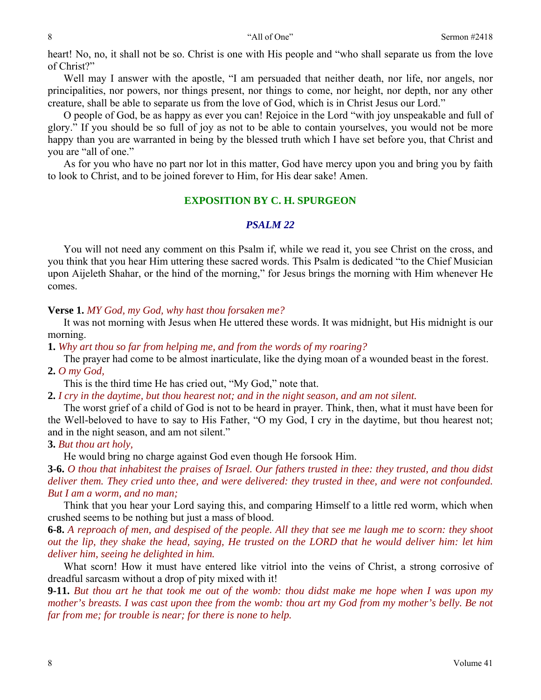heart! No, no, it shall not be so. Christ is one with His people and "who shall separate us from the love of Christ?"

Well may I answer with the apostle, "I am persuaded that neither death, nor life, nor angels, nor principalities, nor powers, nor things present, nor things to come, nor height, nor depth, nor any other creature, shall be able to separate us from the love of God, which is in Christ Jesus our Lord."

O people of God, be as happy as ever you can! Rejoice in the Lord "with joy unspeakable and full of glory." If you should be so full of joy as not to be able to contain yourselves, you would not be more happy than you are warranted in being by the blessed truth which I have set before you, that Christ and you are "all of one."

As for you who have no part nor lot in this matter, God have mercy upon you and bring you by faith to look to Christ, and to be joined forever to Him, for His dear sake! Amen.

### **EXPOSITION BY C. H. SPURGEON**

# *PSALM 22*

You will not need any comment on this Psalm if, while we read it, you see Christ on the cross, and you think that you hear Him uttering these sacred words. This Psalm is dedicated "to the Chief Musician upon Aijeleth Shahar, or the hind of the morning," for Jesus brings the morning with Him whenever He comes.

### **Verse 1.** *MY God, my God, why hast thou forsaken me?*

It was not morning with Jesus when He uttered these words. It was midnight, but His midnight is our morning.

**1.** *Why art thou so far from helping me, and from the words of my roaring?* 

The prayer had come to be almost inarticulate, like the dying moan of a wounded beast in the forest. **2.** *O my God,*

This is the third time He has cried out, "My God," note that.

**2.** *I cry in the daytime, but thou hearest not; and in the night season, and am not silent.* 

The worst grief of a child of God is not to be heard in prayer. Think, then, what it must have been for the Well-beloved to have to say to His Father, "O my God, I cry in the daytime, but thou hearest not; and in the night season, and am not silent."

# **3.** *But thou art holy,*

He would bring no charge against God even though He forsook Him.

**3-6.** *O thou that inhabitest the praises of Israel. Our fathers trusted in thee: they trusted, and thou didst deliver them. They cried unto thee, and were delivered: they trusted in thee, and were not confounded. But I am a worm, and no man;* 

Think that you hear your Lord saying this, and comparing Himself to a little red worm, which when crushed seems to be nothing but just a mass of blood.

**6-8.** *A reproach of men, and despised of the people. All they that see me laugh me to scorn: they shoot out the lip, they shake the head, saying, He trusted on the LORD that he would deliver him: let him deliver him, seeing he delighted in him.* 

What scorn! How it must have entered like vitriol into the veins of Christ, a strong corrosive of dreadful sarcasm without a drop of pity mixed with it!

**9-11.** *But thou art he that took me out of the womb: thou didst make me hope when I was upon my mother's breasts. I was cast upon thee from the womb: thou art my God from my mother's belly. Be not far from me; for trouble is near; for there is none to help.*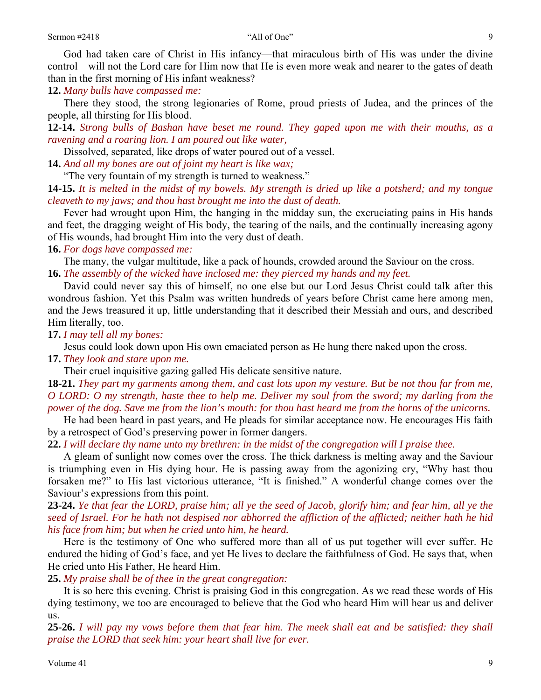God had taken care of Christ in His infancy—that miraculous birth of His was under the divine control—will not the Lord care for Him now that He is even more weak and nearer to the gates of death than in the first morning of His infant weakness?

**12.** *Many bulls have compassed me:* 

There they stood, the strong legionaries of Rome, proud priests of Judea, and the princes of the people, all thirsting for His blood.

**12-14.** *Strong bulls of Bashan have beset me round. They gaped upon me with their mouths, as a ravening and a roaring lion. I am poured out like water,* 

Dissolved, separated, like drops of water poured out of a vessel.

**14.** *And all my bones are out of joint my heart is like wax;* 

"The very fountain of my strength is turned to weakness."

**14-15.** *It is melted in the midst of my bowels. My strength is dried up like a potsherd; and my tongue cleaveth to my jaws; and thou hast brought me into the dust of death.* 

Fever had wrought upon Him, the hanging in the midday sun, the excruciating pains in His hands and feet, the dragging weight of His body, the tearing of the nails, and the continually increasing agony of His wounds, had brought Him into the very dust of death.

**16.** *For dogs have compassed me:* 

The many, the vulgar multitude, like a pack of hounds, crowded around the Saviour on the cross. **16.** *The assembly of the wicked have inclosed me: they pierced my hands and my feet.* 

David could never say this of himself, no one else but our Lord Jesus Christ could talk after this wondrous fashion. Yet this Psalm was written hundreds of years before Christ came here among men, and the Jews treasured it up, little understanding that it described their Messiah and ours, and described Him literally, too.

**17.** *I may tell all my bones:* 

Jesus could look down upon His own emaciated person as He hung there naked upon the cross.

**17.** *They look and stare upon me.* 

Their cruel inquisitive gazing galled His delicate sensitive nature.

**18-21.** *They part my garments among them, and cast lots upon my vesture. But be not thou far from me, O LORD: O my strength, haste thee to help me. Deliver my soul from the sword; my darling from the power of the dog. Save me from the lion's mouth: for thou hast heard me from the horns of the unicorns.* 

He had been heard in past years, and He pleads for similar acceptance now. He encourages His faith by a retrospect of God's preserving power in former dangers.

**22.** *I will declare thy name unto my brethren: in the midst of the congregation will I praise thee.* 

A gleam of sunlight now comes over the cross. The thick darkness is melting away and the Saviour is triumphing even in His dying hour. He is passing away from the agonizing cry, "Why hast thou forsaken me?" to His last victorious utterance, "It is finished." A wonderful change comes over the Saviour's expressions from this point.

**23-24.** *Ye that fear the LORD, praise him; all ye the seed of Jacob, glorify him; and fear him, all ye the seed of Israel. For he hath not despised nor abhorred the affliction of the afflicted; neither hath he hid his face from him; but when he cried unto him, he heard.* 

Here is the testimony of One who suffered more than all of us put together will ever suffer. He endured the hiding of God's face, and yet He lives to declare the faithfulness of God. He says that, when He cried unto His Father, He heard Him.

**25.** *My praise shall be of thee in the great congregation:* 

It is so here this evening. Christ is praising God in this congregation. As we read these words of His dying testimony, we too are encouraged to believe that the God who heard Him will hear us and deliver us.

**25-26.** *I will pay my vows before them that fear him. The meek shall eat and be satisfied: they shall praise the LORD that seek him: your heart shall live for ever.*